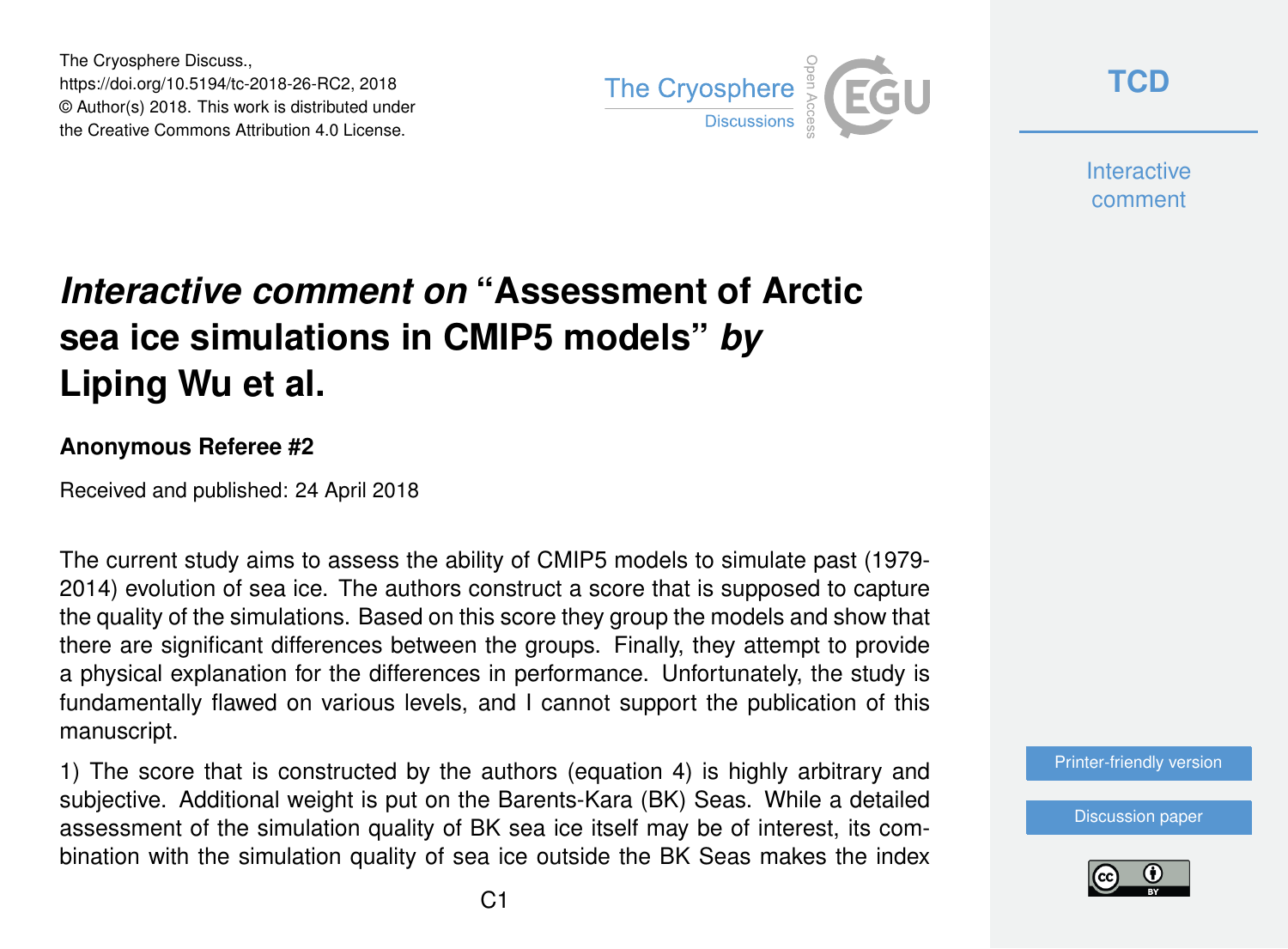The Cryosphere Discuss., https://doi.org/10.5194/tc-2018-26-RC2, 2018 © Author(s) 2018. This work is distributed under the Creative Commons Attribution 4.0 License.



**[TCD](https://www.the-cryosphere-discuss.net/)**

**Interactive** comment

## *Interactive comment on* **"Assessment of Arctic sea ice simulations in CMIP5 models"** *by* **Liping Wu et al.**

## **Anonymous Referee #2**

Received and published: 24 April 2018

The current study aims to assess the ability of CMIP5 models to simulate past (1979- 2014) evolution of sea ice. The authors construct a score that is supposed to capture the quality of the simulations. Based on this score they group the models and show that there are significant differences between the groups. Finally, they attempt to provide a physical explanation for the differences in performance. Unfortunately, the study is fundamentally flawed on various levels, and I cannot support the publication of this manuscript.

1) The score that is constructed by the authors (equation 4) is highly arbitrary and subjective. Additional weight is put on the Barents-Kara (BK) Seas. While a detailed assessment of the simulation quality of BK sea ice itself may be of interest, its combination with the simulation quality of sea ice outside the BK Seas makes the index



[Discussion paper](https://www.the-cryosphere-discuss.net/tc-2018-26)